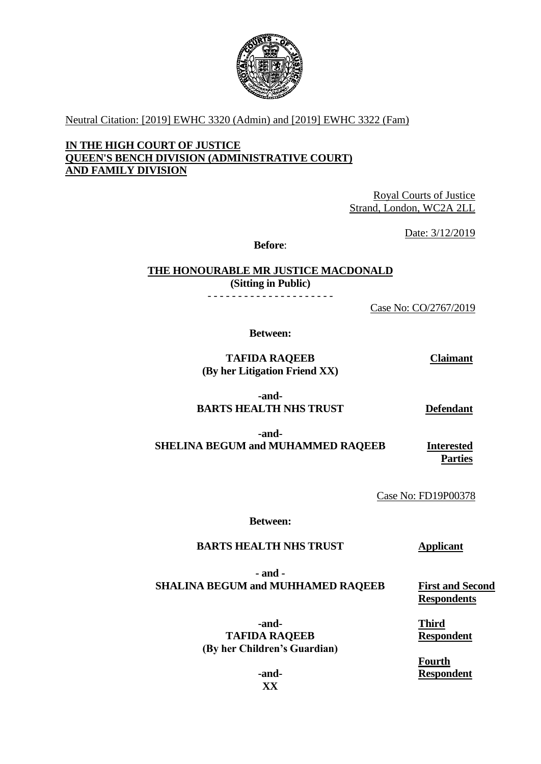

Neutral Citation: [2019] EWHC 3320 (Admin) and [2019] EWHC 3322 (Fam)

## **IN THE HIGH COURT OF JUSTICE QUEEN'S BENCH DIVISION (ADMINISTRATIVE COURT) AND FAMILY DIVISION**

Royal Courts of Justice Strand, London, WC2A 2LL

Date: 3/12/2019

**Before**:

**THE HONOURABLE MR JUSTICE MACDONALD (Sitting in Public)**

- - - - - - - - - - - - - - - - - - - - -

Case No: CO/2767/2019

**Between:**

**TAFIDA RAQEEB (By her Litigation Friend XX)** **Claimant**

**-and-BARTS HEALTH NHS TRUST**

**Defendant**

**-and-SHELINA BEGUM and MUHAMMED RAQEEB Interested** 

**Parties**

Case No: FD19P00378

**Between:**

## **BARTS HEALTH NHS TRUST Applicant**

**- and - SHALINA BEGUM and MUHHAMED RAQEEB**

> **-and-TAFIDA RAQEEB (By her Children's Guardian)**

**First and Second Respondents**

**Third Respondent**

**Fourth Respondent**

**-and-XX**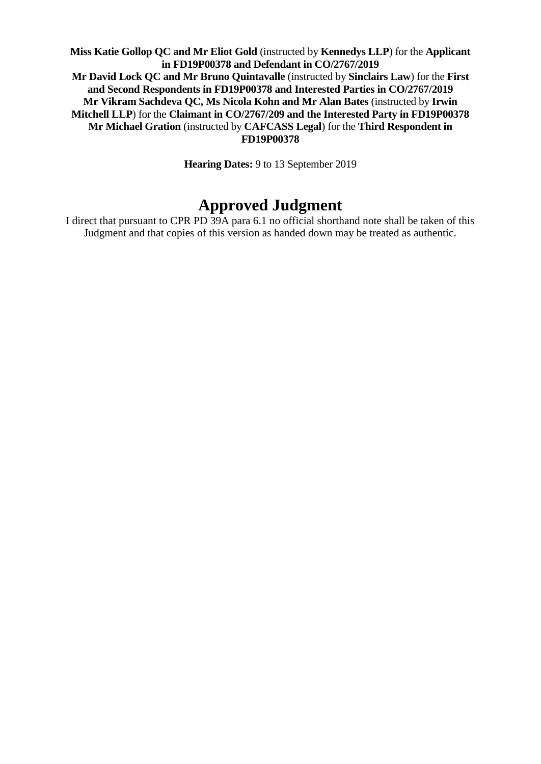**Miss Katie Gollop QC and Mr Eliot Gold** (instructed by **Kennedys LLP**) for the **Applicant in FD19P00378 and Defendant in CO/2767/2019 Mr David Lock QC and Mr Bruno Quintavalle** (instructed by **Sinclairs Law**) for the **First and Second Respondents in FD19P00378 and Interested Parties in CO/2767/2019 Mr Vikram Sachdeva QC, Ms Nicola Kohn and Mr Alan Bates** (instructed by **Irwin Mitchell LLP**) for the **Claimant in CO/2767/209 and the Interested Party in FD19P00378 Mr Michael Gration** (instructed by **CAFCASS Legal**) for the **Third Respondent in FD19P00378** 

**Hearing Dates:** 9 to 13 September 2019

# **Approved Judgment**

I direct that pursuant to CPR PD 39A para 6.1 no official shorthand note shall be taken of this Judgment and that copies of this version as handed down may be treated as authentic.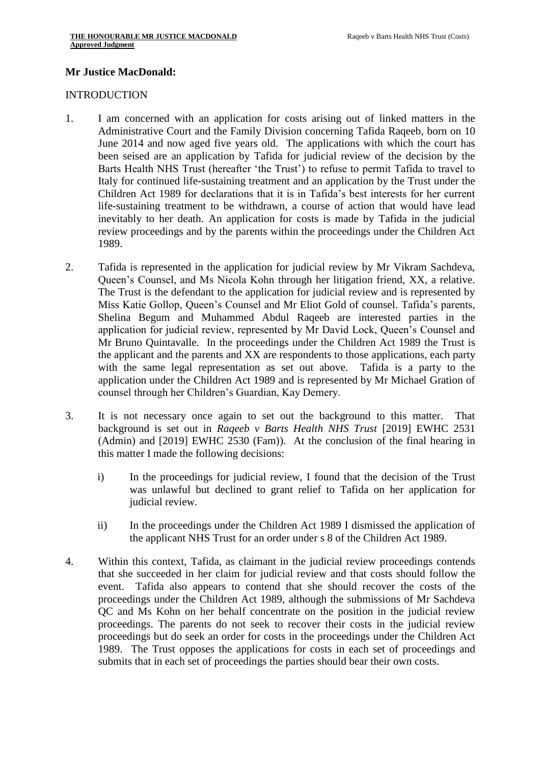#### **Mr Justice MacDonald:**

#### INTRODUCTION

- 1. I am concerned with an application for costs arising out of linked matters in the Administrative Court and the Family Division concerning Tafida Raqeeb, born on 10 June 2014 and now aged five years old. The applications with which the court has been seised are an application by Tafida for judicial review of the decision by the Barts Health NHS Trust (hereafter 'the Trust') to refuse to permit Tafida to travel to Italy for continued life-sustaining treatment and an application by the Trust under the Children Act 1989 for declarations that it is in Tafida's best interests for her current life-sustaining treatment to be withdrawn, a course of action that would have lead inevitably to her death. An application for costs is made by Tafida in the judicial review proceedings and by the parents within the proceedings under the Children Act 1989.
- 2. Tafida is represented in the application for judicial review by Mr Vikram Sachdeva, Queen's Counsel, and Ms Nicola Kohn through her litigation friend, XX, a relative. The Trust is the defendant to the application for judicial review and is represented by Miss Katie Gollop, Queen's Counsel and Mr Eliot Gold of counsel. Tafida's parents, Shelina Begum and Muhammed Abdul Raqeeb are interested parties in the application for judicial review, represented by Mr David Lock, Queen's Counsel and Mr Bruno Quintavalle. In the proceedings under the Children Act 1989 the Trust is the applicant and the parents and XX are respondents to those applications, each party with the same legal representation as set out above. Tafida is a party to the application under the Children Act 1989 and is represented by Mr Michael Gration of counsel through her Children's Guardian, Kay Demery.
- 3. It is not necessary once again to set out the background to this matter. That background is set out in *Raqeeb v Barts Health NHS Trust* [2019] EWHC 2531 (Admin) and [2019] EWHC 2530 (Fam)). At the conclusion of the final hearing in this matter I made the following decisions:
	- i) In the proceedings for judicial review, I found that the decision of the Trust was unlawful but declined to grant relief to Tafida on her application for judicial review.
	- ii) In the proceedings under the Children Act 1989 I dismissed the application of the applicant NHS Trust for an order under s 8 of the Children Act 1989.
- 4. Within this context, Tafida, as claimant in the judicial review proceedings contends that she succeeded in her claim for judicial review and that costs should follow the event. Tafida also appears to contend that she should recover the costs of the proceedings under the Children Act 1989, although the submissions of Mr Sachdeva QC and Ms Kohn on her behalf concentrate on the position in the judicial review proceedings. The parents do not seek to recover their costs in the judicial review proceedings but do seek an order for costs in the proceedings under the Children Act 1989. The Trust opposes the applications for costs in each set of proceedings and submits that in each set of proceedings the parties should bear their own costs.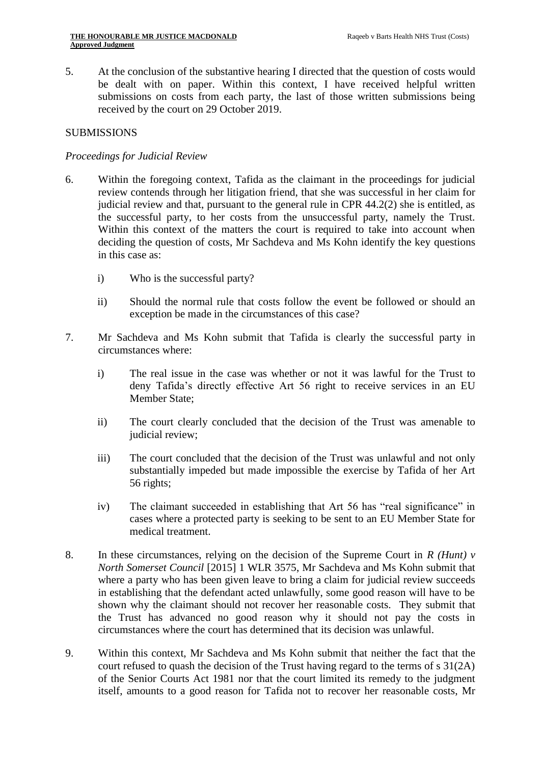5. At the conclusion of the substantive hearing I directed that the question of costs would be dealt with on paper. Within this context, I have received helpful written submissions on costs from each party, the last of those written submissions being received by the court on 29 October 2019.

## SUBMISSIONS

## *Proceedings for Judicial Review*

- 6. Within the foregoing context, Tafida as the claimant in the proceedings for judicial review contends through her litigation friend, that she was successful in her claim for judicial review and that, pursuant to the general rule in CPR 44.2(2) she is entitled, as the successful party, to her costs from the unsuccessful party, namely the Trust. Within this context of the matters the court is required to take into account when deciding the question of costs, Mr Sachdeva and Ms Kohn identify the key questions in this case as:
	- i) Who is the successful party?
	- ii) Should the normal rule that costs follow the event be followed or should an exception be made in the circumstances of this case?
- 7. Mr Sachdeva and Ms Kohn submit that Tafida is clearly the successful party in circumstances where:
	- i) The real issue in the case was whether or not it was lawful for the Trust to deny Tafida's directly effective Art 56 right to receive services in an EU Member State;
	- ii) The court clearly concluded that the decision of the Trust was amenable to judicial review;
	- iii) The court concluded that the decision of the Trust was unlawful and not only substantially impeded but made impossible the exercise by Tafida of her Art 56 rights;
	- iv) The claimant succeeded in establishing that Art 56 has "real significance" in cases where a protected party is seeking to be sent to an EU Member State for medical treatment.
- 8. In these circumstances, relying on the decision of the Supreme Court in *R (Hunt) v North Somerset Council* [2015] 1 WLR 3575, Mr Sachdeva and Ms Kohn submit that where a party who has been given leave to bring a claim for judicial review succeeds in establishing that the defendant acted unlawfully, some good reason will have to be shown why the claimant should not recover her reasonable costs. They submit that the Trust has advanced no good reason why it should not pay the costs in circumstances where the court has determined that its decision was unlawful.
- 9. Within this context, Mr Sachdeva and Ms Kohn submit that neither the fact that the court refused to quash the decision of the Trust having regard to the terms of s 31(2A) of the Senior Courts Act 1981 nor that the court limited its remedy to the judgment itself, amounts to a good reason for Tafida not to recover her reasonable costs, Mr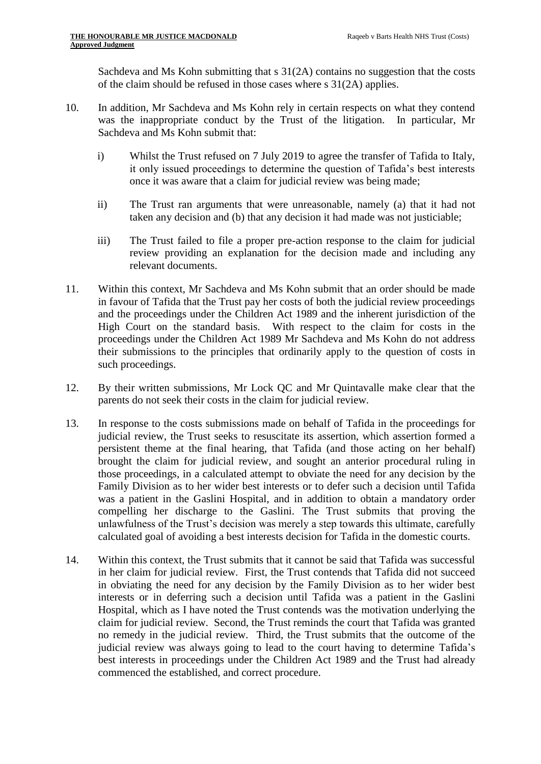Sachdeva and Ms Kohn submitting that s 31(2A) contains no suggestion that the costs of the claim should be refused in those cases where s 31(2A) applies.

- 10. In addition, Mr Sachdeva and Ms Kohn rely in certain respects on what they contend was the inappropriate conduct by the Trust of the litigation. In particular, Mr Sachdeva and Ms Kohn submit that:
	- i) Whilst the Trust refused on 7 July 2019 to agree the transfer of Tafida to Italy, it only issued proceedings to determine the question of Tafida's best interests once it was aware that a claim for judicial review was being made;
	- ii) The Trust ran arguments that were unreasonable, namely (a) that it had not taken any decision and (b) that any decision it had made was not justiciable;
	- iii) The Trust failed to file a proper pre-action response to the claim for judicial review providing an explanation for the decision made and including any relevant documents.
- 11. Within this context, Mr Sachdeva and Ms Kohn submit that an order should be made in favour of Tafida that the Trust pay her costs of both the judicial review proceedings and the proceedings under the Children Act 1989 and the inherent jurisdiction of the High Court on the standard basis. With respect to the claim for costs in the proceedings under the Children Act 1989 Mr Sachdeva and Ms Kohn do not address their submissions to the principles that ordinarily apply to the question of costs in such proceedings.
- 12. By their written submissions, Mr Lock QC and Mr Quintavalle make clear that the parents do not seek their costs in the claim for judicial review.
- 13. In response to the costs submissions made on behalf of Tafida in the proceedings for judicial review, the Trust seeks to resuscitate its assertion, which assertion formed a persistent theme at the final hearing, that Tafida (and those acting on her behalf) brought the claim for judicial review, and sought an anterior procedural ruling in those proceedings, in a calculated attempt to obviate the need for any decision by the Family Division as to her wider best interests or to defer such a decision until Tafida was a patient in the Gaslini Hospital, and in addition to obtain a mandatory order compelling her discharge to the Gaslini. The Trust submits that proving the unlawfulness of the Trust's decision was merely a step towards this ultimate, carefully calculated goal of avoiding a best interests decision for Tafida in the domestic courts.
- 14. Within this context, the Trust submits that it cannot be said that Tafida was successful in her claim for judicial review. First, the Trust contends that Tafida did not succeed in obviating the need for any decision by the Family Division as to her wider best interests or in deferring such a decision until Tafida was a patient in the Gaslini Hospital, which as I have noted the Trust contends was the motivation underlying the claim for judicial review. Second, the Trust reminds the court that Tafida was granted no remedy in the judicial review. Third, the Trust submits that the outcome of the judicial review was always going to lead to the court having to determine Tafida's best interests in proceedings under the Children Act 1989 and the Trust had already commenced the established, and correct procedure.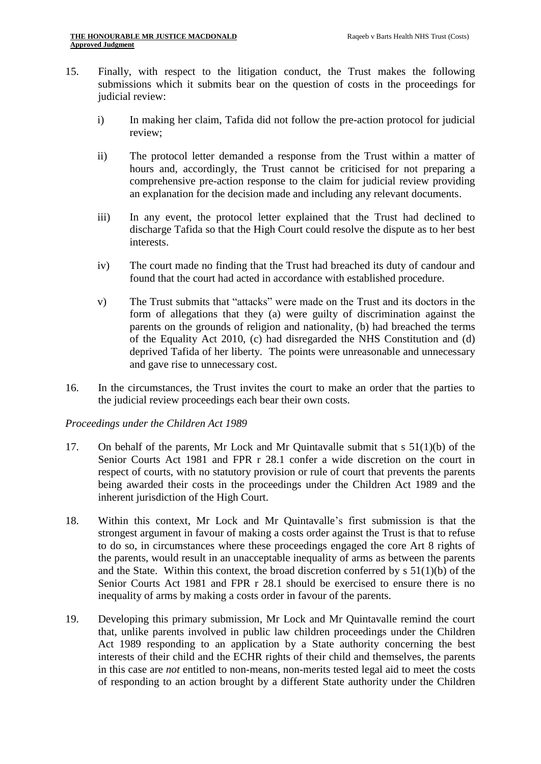- 15. Finally, with respect to the litigation conduct, the Trust makes the following submissions which it submits bear on the question of costs in the proceedings for judicial review:
	- i) In making her claim, Tafida did not follow the pre-action protocol for judicial review;
	- ii) The protocol letter demanded a response from the Trust within a matter of hours and, accordingly, the Trust cannot be criticised for not preparing a comprehensive pre-action response to the claim for judicial review providing an explanation for the decision made and including any relevant documents.
	- iii) In any event, the protocol letter explained that the Trust had declined to discharge Tafida so that the High Court could resolve the dispute as to her best interests.
	- iv) The court made no finding that the Trust had breached its duty of candour and found that the court had acted in accordance with established procedure.
	- v) The Trust submits that "attacks" were made on the Trust and its doctors in the form of allegations that they (a) were guilty of discrimination against the parents on the grounds of religion and nationality, (b) had breached the terms of the Equality Act 2010, (c) had disregarded the NHS Constitution and (d) deprived Tafida of her liberty. The points were unreasonable and unnecessary and gave rise to unnecessary cost.
- 16. In the circumstances, the Trust invites the court to make an order that the parties to the judicial review proceedings each bear their own costs.

#### *Proceedings under the Children Act 1989*

- 17. On behalf of the parents, Mr Lock and Mr Quintavalle submit that s 51(1)(b) of the Senior Courts Act 1981 and FPR r 28.1 confer a wide discretion on the court in respect of courts, with no statutory provision or rule of court that prevents the parents being awarded their costs in the proceedings under the Children Act 1989 and the inherent jurisdiction of the High Court.
- 18. Within this context, Mr Lock and Mr Quintavalle's first submission is that the strongest argument in favour of making a costs order against the Trust is that to refuse to do so, in circumstances where these proceedings engaged the core Art 8 rights of the parents, would result in an unacceptable inequality of arms as between the parents and the State. Within this context, the broad discretion conferred by  $s 51(1)(b)$  of the Senior Courts Act 1981 and FPR r 28.1 should be exercised to ensure there is no inequality of arms by making a costs order in favour of the parents.
- 19. Developing this primary submission, Mr Lock and Mr Quintavalle remind the court that, unlike parents involved in public law children proceedings under the Children Act 1989 responding to an application by a State authority concerning the best interests of their child and the ECHR rights of their child and themselves, the parents in this case are *not* entitled to non-means, non-merits tested legal aid to meet the costs of responding to an action brought by a different State authority under the Children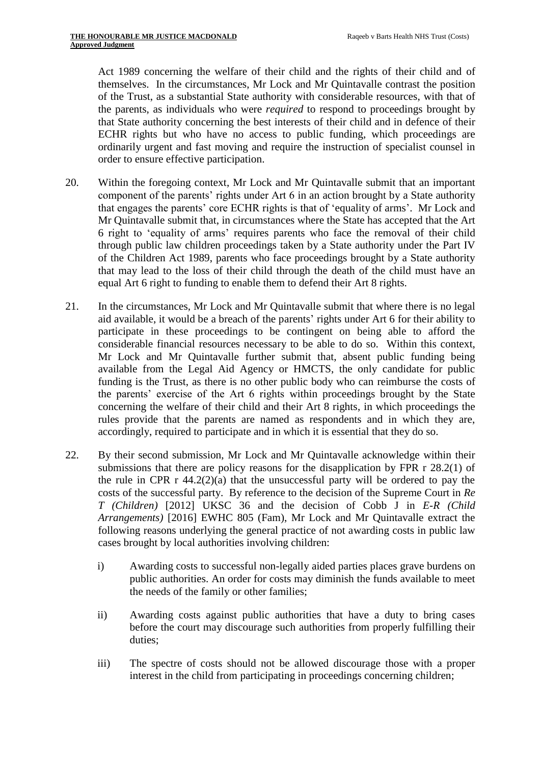Act 1989 concerning the welfare of their child and the rights of their child and of themselves. In the circumstances, Mr Lock and Mr Quintavalle contrast the position of the Trust, as a substantial State authority with considerable resources, with that of the parents, as individuals who were *required* to respond to proceedings brought by that State authority concerning the best interests of their child and in defence of their ECHR rights but who have no access to public funding, which proceedings are ordinarily urgent and fast moving and require the instruction of specialist counsel in order to ensure effective participation.

- 20. Within the foregoing context, Mr Lock and Mr Quintavalle submit that an important component of the parents' rights under Art 6 in an action brought by a State authority that engages the parents' core ECHR rights is that of 'equality of arms'. Mr Lock and Mr Quintavalle submit that, in circumstances where the State has accepted that the Art 6 right to 'equality of arms' requires parents who face the removal of their child through public law children proceedings taken by a State authority under the Part IV of the Children Act 1989, parents who face proceedings brought by a State authority that may lead to the loss of their child through the death of the child must have an equal Art 6 right to funding to enable them to defend their Art 8 rights.
- 21. In the circumstances, Mr Lock and Mr Quintavalle submit that where there is no legal aid available, it would be a breach of the parents' rights under Art 6 for their ability to participate in these proceedings to be contingent on being able to afford the considerable financial resources necessary to be able to do so. Within this context, Mr Lock and Mr Quintavalle further submit that, absent public funding being available from the Legal Aid Agency or HMCTS, the only candidate for public funding is the Trust, as there is no other public body who can reimburse the costs of the parents' exercise of the Art 6 rights within proceedings brought by the State concerning the welfare of their child and their Art 8 rights, in which proceedings the rules provide that the parents are named as respondents and in which they are, accordingly, required to participate and in which it is essential that they do so.
- 22. By their second submission, Mr Lock and Mr Quintavalle acknowledge within their submissions that there are policy reasons for the disapplication by FPR r 28.2(1) of the rule in CPR  $r$  44.2(2)(a) that the unsuccessful party will be ordered to pay the costs of the successful party. By reference to the decision of the Supreme Court in *Re T (Children)* [2012] UKSC 36 and the decision of Cobb J in *E-R (Child Arrangements)* [2016] EWHC 805 (Fam), Mr Lock and Mr Quintavalle extract the following reasons underlying the general practice of not awarding costs in public law cases brought by local authorities involving children:
	- i) Awarding costs to successful non-legally aided parties places grave burdens on public authorities. An order for costs may diminish the funds available to meet the needs of the family or other families;
	- ii) Awarding costs against public authorities that have a duty to bring cases before the court may discourage such authorities from properly fulfilling their duties;
	- iii) The spectre of costs should not be allowed discourage those with a proper interest in the child from participating in proceedings concerning children;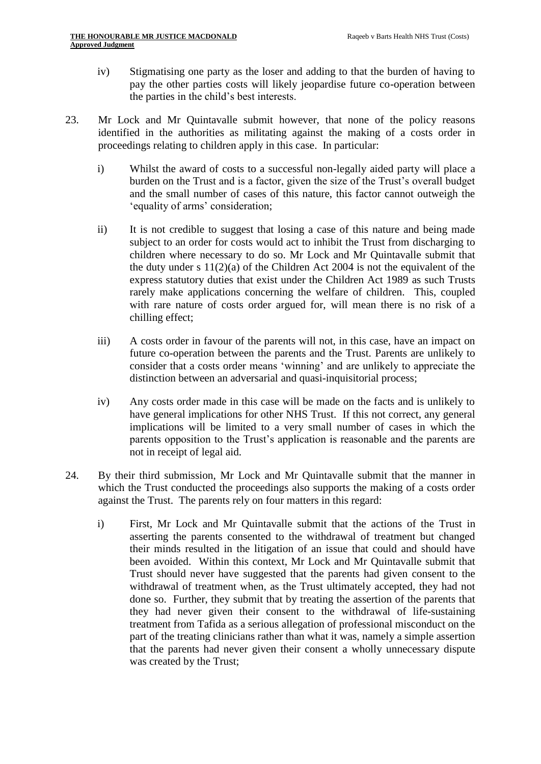- iv) Stigmatising one party as the loser and adding to that the burden of having to pay the other parties costs will likely jeopardise future co-operation between the parties in the child's best interests.
- 23. Mr Lock and Mr Quintavalle submit however, that none of the policy reasons identified in the authorities as militating against the making of a costs order in proceedings relating to children apply in this case. In particular:
	- i) Whilst the award of costs to a successful non-legally aided party will place a burden on the Trust and is a factor, given the size of the Trust's overall budget and the small number of cases of this nature, this factor cannot outweigh the 'equality of arms' consideration;
	- ii) It is not credible to suggest that losing a case of this nature and being made subject to an order for costs would act to inhibit the Trust from discharging to children where necessary to do so. Mr Lock and Mr Quintavalle submit that the duty under s  $11(2)(a)$  of the Children Act 2004 is not the equivalent of the express statutory duties that exist under the Children Act 1989 as such Trusts rarely make applications concerning the welfare of children. This, coupled with rare nature of costs order argued for, will mean there is no risk of a chilling effect;
	- iii) A costs order in favour of the parents will not, in this case, have an impact on future co-operation between the parents and the Trust. Parents are unlikely to consider that a costs order means 'winning' and are unlikely to appreciate the distinction between an adversarial and quasi-inquisitorial process;
	- iv) Any costs order made in this case will be made on the facts and is unlikely to have general implications for other NHS Trust. If this not correct, any general implications will be limited to a very small number of cases in which the parents opposition to the Trust's application is reasonable and the parents are not in receipt of legal aid.
- 24. By their third submission, Mr Lock and Mr Quintavalle submit that the manner in which the Trust conducted the proceedings also supports the making of a costs order against the Trust. The parents rely on four matters in this regard:
	- i) First, Mr Lock and Mr Quintavalle submit that the actions of the Trust in asserting the parents consented to the withdrawal of treatment but changed their minds resulted in the litigation of an issue that could and should have been avoided. Within this context, Mr Lock and Mr Quintavalle submit that Trust should never have suggested that the parents had given consent to the withdrawal of treatment when, as the Trust ultimately accepted, they had not done so. Further, they submit that by treating the assertion of the parents that they had never given their consent to the withdrawal of life-sustaining treatment from Tafida as a serious allegation of professional misconduct on the part of the treating clinicians rather than what it was, namely a simple assertion that the parents had never given their consent a wholly unnecessary dispute was created by the Trust;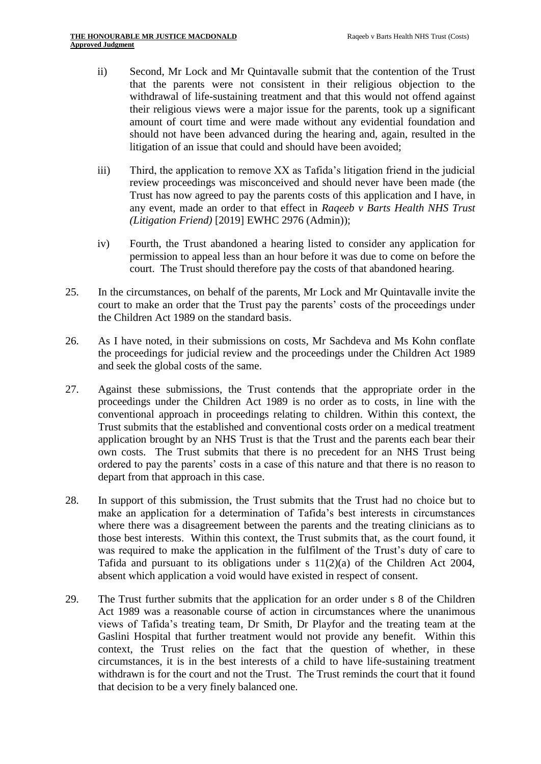- ii) Second, Mr Lock and Mr Quintavalle submit that the contention of the Trust that the parents were not consistent in their religious objection to the withdrawal of life-sustaining treatment and that this would not offend against their religious views were a major issue for the parents, took up a significant amount of court time and were made without any evidential foundation and should not have been advanced during the hearing and, again, resulted in the litigation of an issue that could and should have been avoided;
- iii) Third, the application to remove XX as Tafida's litigation friend in the judicial review proceedings was misconceived and should never have been made (the Trust has now agreed to pay the parents costs of this application and I have, in any event, made an order to that effect in *Raqeeb v Barts Health NHS Trust (Litigation Friend)* [2019] EWHC 2976 (Admin));
- iv) Fourth, the Trust abandoned a hearing listed to consider any application for permission to appeal less than an hour before it was due to come on before the court. The Trust should therefore pay the costs of that abandoned hearing.
- 25. In the circumstances, on behalf of the parents, Mr Lock and Mr Quintavalle invite the court to make an order that the Trust pay the parents' costs of the proceedings under the Children Act 1989 on the standard basis.
- 26. As I have noted, in their submissions on costs, Mr Sachdeva and Ms Kohn conflate the proceedings for judicial review and the proceedings under the Children Act 1989 and seek the global costs of the same.
- 27. Against these submissions, the Trust contends that the appropriate order in the proceedings under the Children Act 1989 is no order as to costs, in line with the conventional approach in proceedings relating to children. Within this context, the Trust submits that the established and conventional costs order on a medical treatment application brought by an NHS Trust is that the Trust and the parents each bear their own costs. The Trust submits that there is no precedent for an NHS Trust being ordered to pay the parents' costs in a case of this nature and that there is no reason to depart from that approach in this case.
- 28. In support of this submission, the Trust submits that the Trust had no choice but to make an application for a determination of Tafida's best interests in circumstances where there was a disagreement between the parents and the treating clinicians as to those best interests. Within this context, the Trust submits that, as the court found, it was required to make the application in the fulfilment of the Trust's duty of care to Tafida and pursuant to its obligations under s 11(2)(a) of the Children Act 2004, absent which application a void would have existed in respect of consent.
- 29. The Trust further submits that the application for an order under s 8 of the Children Act 1989 was a reasonable course of action in circumstances where the unanimous views of Tafida's treating team, Dr Smith, Dr Playfor and the treating team at the Gaslini Hospital that further treatment would not provide any benefit. Within this context, the Trust relies on the fact that the question of whether, in these circumstances, it is in the best interests of a child to have life-sustaining treatment withdrawn is for the court and not the Trust. The Trust reminds the court that it found that decision to be a very finely balanced one.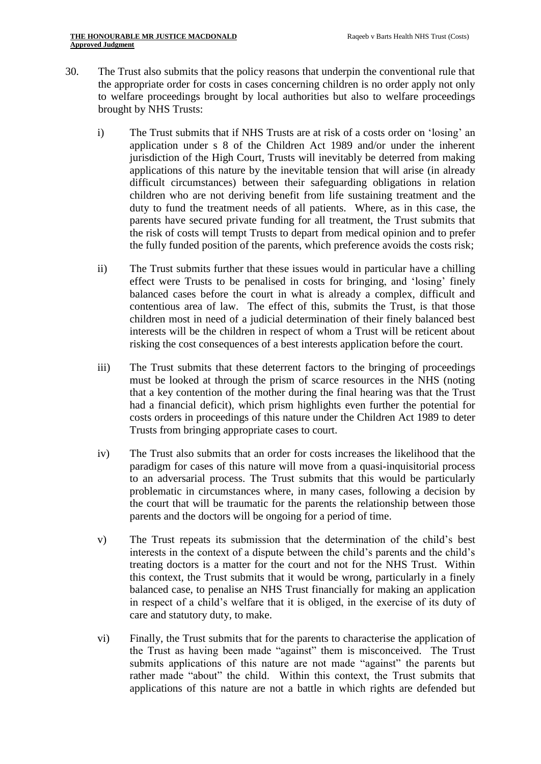- 30. The Trust also submits that the policy reasons that underpin the conventional rule that the appropriate order for costs in cases concerning children is no order apply not only to welfare proceedings brought by local authorities but also to welfare proceedings brought by NHS Trusts:
	- i) The Trust submits that if NHS Trusts are at risk of a costs order on 'losing' an application under s 8 of the Children Act 1989 and/or under the inherent jurisdiction of the High Court, Trusts will inevitably be deterred from making applications of this nature by the inevitable tension that will arise (in already difficult circumstances) between their safeguarding obligations in relation children who are not deriving benefit from life sustaining treatment and the duty to fund the treatment needs of all patients. Where, as in this case, the parents have secured private funding for all treatment, the Trust submits that the risk of costs will tempt Trusts to depart from medical opinion and to prefer the fully funded position of the parents, which preference avoids the costs risk;
	- ii) The Trust submits further that these issues would in particular have a chilling effect were Trusts to be penalised in costs for bringing, and 'losing' finely balanced cases before the court in what is already a complex, difficult and contentious area of law. The effect of this, submits the Trust, is that those children most in need of a judicial determination of their finely balanced best interests will be the children in respect of whom a Trust will be reticent about risking the cost consequences of a best interests application before the court.
	- iii) The Trust submits that these deterrent factors to the bringing of proceedings must be looked at through the prism of scarce resources in the NHS (noting that a key contention of the mother during the final hearing was that the Trust had a financial deficit), which prism highlights even further the potential for costs orders in proceedings of this nature under the Children Act 1989 to deter Trusts from bringing appropriate cases to court.
	- iv) The Trust also submits that an order for costs increases the likelihood that the paradigm for cases of this nature will move from a quasi-inquisitorial process to an adversarial process. The Trust submits that this would be particularly problematic in circumstances where, in many cases, following a decision by the court that will be traumatic for the parents the relationship between those parents and the doctors will be ongoing for a period of time.
	- v) The Trust repeats its submission that the determination of the child's best interests in the context of a dispute between the child's parents and the child's treating doctors is a matter for the court and not for the NHS Trust. Within this context, the Trust submits that it would be wrong, particularly in a finely balanced case, to penalise an NHS Trust financially for making an application in respect of a child's welfare that it is obliged, in the exercise of its duty of care and statutory duty, to make.
	- vi) Finally, the Trust submits that for the parents to characterise the application of the Trust as having been made "against" them is misconceived. The Trust submits applications of this nature are not made "against" the parents but rather made "about" the child. Within this context, the Trust submits that applications of this nature are not a battle in which rights are defended but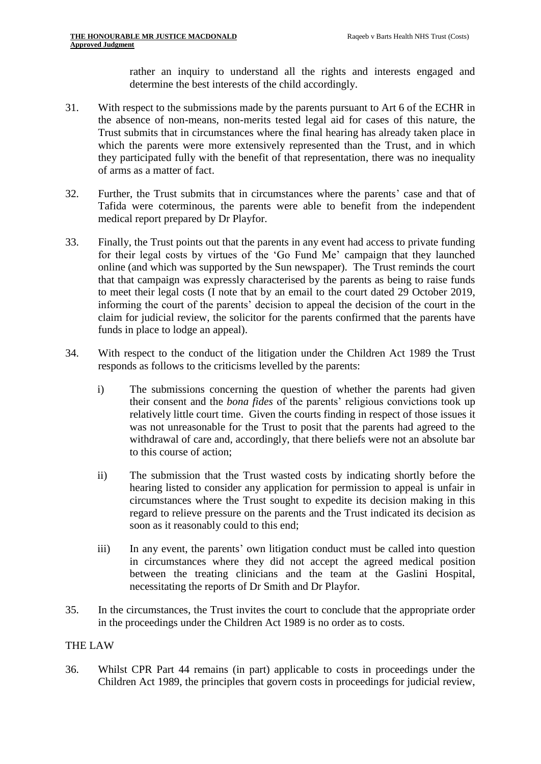rather an inquiry to understand all the rights and interests engaged and determine the best interests of the child accordingly.

- 31. With respect to the submissions made by the parents pursuant to Art 6 of the ECHR in the absence of non-means, non-merits tested legal aid for cases of this nature, the Trust submits that in circumstances where the final hearing has already taken place in which the parents were more extensively represented than the Trust, and in which they participated fully with the benefit of that representation, there was no inequality of arms as a matter of fact.
- 32. Further, the Trust submits that in circumstances where the parents' case and that of Tafida were coterminous, the parents were able to benefit from the independent medical report prepared by Dr Playfor.
- 33. Finally, the Trust points out that the parents in any event had access to private funding for their legal costs by virtues of the 'Go Fund Me' campaign that they launched online (and which was supported by the Sun newspaper). The Trust reminds the court that that campaign was expressly characterised by the parents as being to raise funds to meet their legal costs (I note that by an email to the court dated 29 October 2019, informing the court of the parents' decision to appeal the decision of the court in the claim for judicial review, the solicitor for the parents confirmed that the parents have funds in place to lodge an appeal).
- 34. With respect to the conduct of the litigation under the Children Act 1989 the Trust responds as follows to the criticisms levelled by the parents:
	- i) The submissions concerning the question of whether the parents had given their consent and the *bona fides* of the parents' religious convictions took up relatively little court time. Given the courts finding in respect of those issues it was not unreasonable for the Trust to posit that the parents had agreed to the withdrawal of care and, accordingly, that there beliefs were not an absolute bar to this course of action;
	- ii) The submission that the Trust wasted costs by indicating shortly before the hearing listed to consider any application for permission to appeal is unfair in circumstances where the Trust sought to expedite its decision making in this regard to relieve pressure on the parents and the Trust indicated its decision as soon as it reasonably could to this end;
	- iii) In any event, the parents' own litigation conduct must be called into question in circumstances where they did not accept the agreed medical position between the treating clinicians and the team at the Gaslini Hospital, necessitating the reports of Dr Smith and Dr Playfor.
- 35. In the circumstances, the Trust invites the court to conclude that the appropriate order in the proceedings under the Children Act 1989 is no order as to costs.

## THE LAW

36. Whilst CPR Part 44 remains (in part) applicable to costs in proceedings under the Children Act 1989, the principles that govern costs in proceedings for judicial review,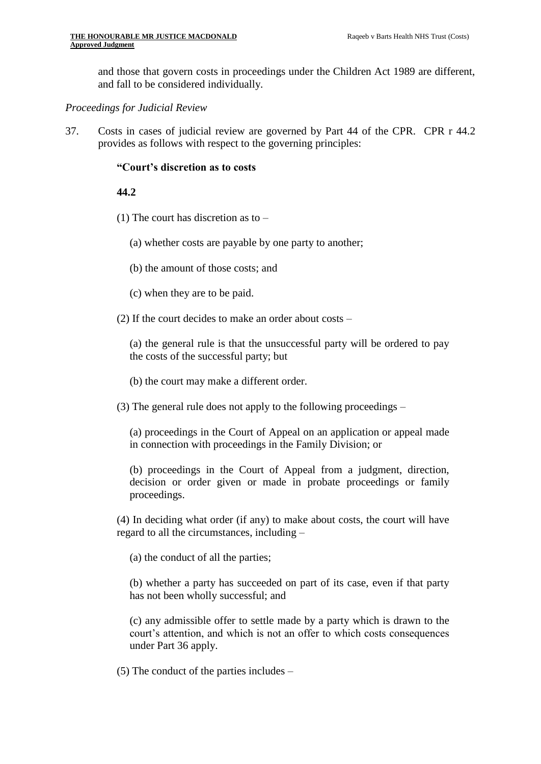and those that govern costs in proceedings under the Children Act 1989 are different, and fall to be considered individually.

#### *Proceedings for Judicial Review*

37. Costs in cases of judicial review are governed by Part 44 of the CPR. CPR r 44.2 provides as follows with respect to the governing principles:

#### **"Court's discretion as to costs**

#### **44.2**

- (1) The court has discretion as to
	- (a) whether costs are payable by one party to another;
	- (b) the amount of those costs; and
	- (c) when they are to be paid.
- (2) If the court decides to make an order about costs –

(a) the general rule is that the unsuccessful party will be ordered to pay the costs of the successful party; but

- (b) the court may make a different order.
- (3) The general rule does not apply to the following proceedings –

(a) proceedings in the Court of Appeal on an application or appeal made in connection with proceedings in the Family Division; or

(b) proceedings in the Court of Appeal from a judgment, direction, decision or order given or made in probate proceedings or family proceedings.

(4) In deciding what order (if any) to make about costs, the court will have regard to all the circumstances, including –

(a) the conduct of all the parties;

(b) whether a party has succeeded on part of its case, even if that party has not been wholly successful; and

(c) any admissible offer to settle made by a party which is drawn to the court's attention, and which is not an offer to which costs consequences under Part 36 apply.

(5) The conduct of the parties includes –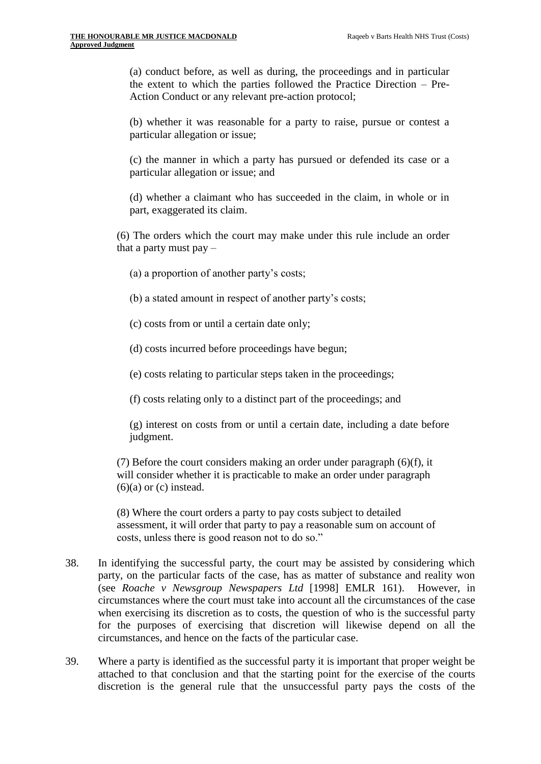(a) conduct before, as well as during, the proceedings and in particular the extent to which the parties followed the Practice Direction – Pre-Action Conduct or any relevant pre-action protocol;

(b) whether it was reasonable for a party to raise, pursue or contest a particular allegation or issue;

(c) the manner in which a party has pursued or defended its case or a particular allegation or issue; and

(d) whether a claimant who has succeeded in the claim, in whole or in part, exaggerated its claim.

(6) The orders which the court may make under this rule include an order that a party must pay –

- (a) a proportion of another party's costs;
- (b) a stated amount in respect of another party's costs;
- (c) costs from or until a certain date only;
- (d) costs incurred before proceedings have begun;
- (e) costs relating to particular steps taken in the proceedings;

(f) costs relating only to a distinct part of the proceedings; and

(g) interest on costs from or until a certain date, including a date before judgment.

(7) Before the court considers making an order under paragraph (6)(f), it will consider whether it is practicable to make an order under paragraph  $(6)(a)$  or  $(c)$  instead.

(8) Where the court orders a party to pay costs subject to detailed assessment, it will order that party to pay a reasonable sum on account of costs, unless there is good reason not to do so."

- 38. In identifying the successful party, the court may be assisted by considering which party, on the particular facts of the case, has as matter of substance and reality won (see *Roache v Newsgroup Newspapers Ltd* [1998] EMLR 161). However, in circumstances where the court must take into account all the circumstances of the case when exercising its discretion as to costs, the question of who is the successful party for the purposes of exercising that discretion will likewise depend on all the circumstances, and hence on the facts of the particular case.
- 39. Where a party is identified as the successful party it is important that proper weight be attached to that conclusion and that the starting point for the exercise of the courts discretion is the general rule that the unsuccessful party pays the costs of the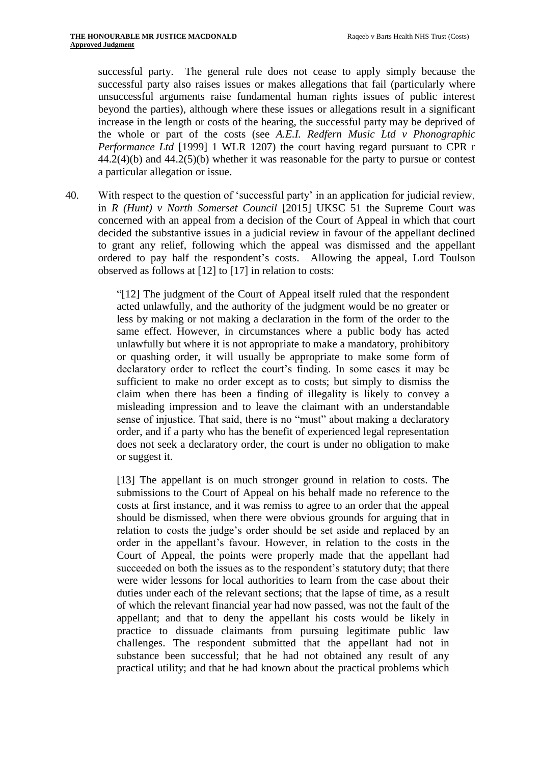successful party. The general rule does not cease to apply simply because the successful party also raises issues or makes allegations that fail (particularly where unsuccessful arguments raise fundamental human rights issues of public interest beyond the parties), although where these issues or allegations result in a significant increase in the length or costs of the hearing, the successful party may be deprived of the whole or part of the costs (see *A.E.I. Redfern Music Ltd v Phonographic Performance Ltd* [1999] 1 WLR 1207) the court having regard pursuant to CPR r  $44.2(4)(b)$  and  $44.2(5)(b)$  whether it was reasonable for the party to pursue or contest a particular allegation or issue.

40. With respect to the question of 'successful party' in an application for judicial review, in *R (Hunt) v North Somerset Council* [2015] UKSC 51 the Supreme Court was concerned with an appeal from a decision of the Court of Appeal in which that court decided the substantive issues in a judicial review in favour of the appellant declined to grant any relief, following which the appeal was dismissed and the appellant ordered to pay half the respondent's costs. Allowing the appeal, Lord Toulson observed as follows at [12] to [17] in relation to costs:

> "[12] The judgment of the Court of Appeal itself ruled that the respondent acted unlawfully, and the authority of the judgment would be no greater or less by making or not making a declaration in the form of the order to the same effect. However, in circumstances where a public body has acted unlawfully but where it is not appropriate to make a mandatory, prohibitory or quashing order, it will usually be appropriate to make some form of declaratory order to reflect the court's finding. In some cases it may be sufficient to make no order except as to costs; but simply to dismiss the claim when there has been a finding of illegality is likely to convey a misleading impression and to leave the claimant with an understandable sense of injustice. That said, there is no "must" about making a declaratory order, and if a party who has the benefit of experienced legal representation does not seek a declaratory order, the court is under no obligation to make or suggest it.

> [13] The appellant is on much stronger ground in relation to costs. The submissions to the Court of Appeal on his behalf made no reference to the costs at first instance, and it was remiss to agree to an order that the appeal should be dismissed, when there were obvious grounds for arguing that in relation to costs the judge's order should be set aside and replaced by an order in the appellant's favour. However, in relation to the costs in the Court of Appeal, the points were properly made that the appellant had succeeded on both the issues as to the respondent's statutory duty; that there were wider lessons for local authorities to learn from the case about their duties under each of the relevant sections; that the lapse of time, as a result of which the relevant financial year had now passed, was not the fault of the appellant; and that to deny the appellant his costs would be likely in practice to dissuade claimants from pursuing legitimate public law challenges. The respondent submitted that the appellant had not in substance been successful; that he had not obtained any result of any practical utility; and that he had known about the practical problems which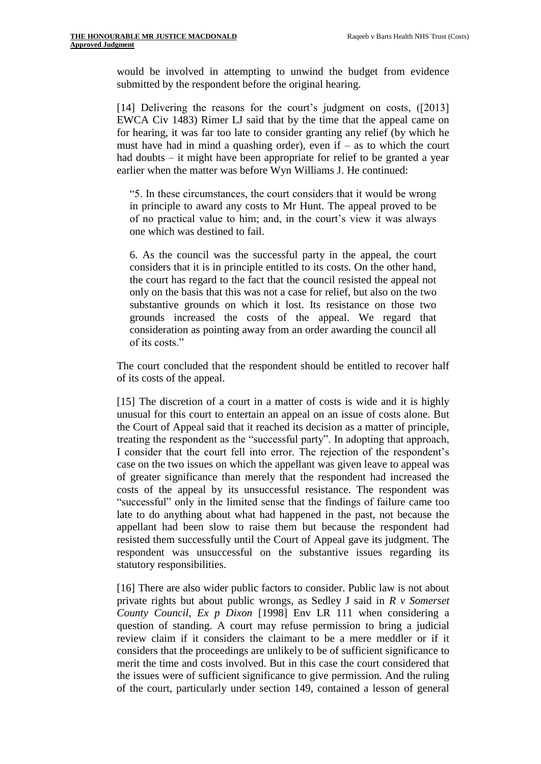would be involved in attempting to unwind the budget from evidence submitted by the respondent before the original hearing.

[14] Delivering the reasons for the court's judgment on costs, ([2013] EWCA Civ 1483) Rimer LJ said that by the time that the appeal came on for hearing, it was far too late to consider granting any relief (by which he must have had in mind a quashing order), even if  $-$  as to which the court had doubts – it might have been appropriate for relief to be granted a year earlier when the matter was before Wyn Williams J. He continued:

"5. In these circumstances, the court considers that it would be wrong in principle to award any costs to Mr Hunt. The appeal proved to be of no practical value to him; and, in the court's view it was always one which was destined to fail.

6. As the council was the successful party in the appeal, the court considers that it is in principle entitled to its costs. On the other hand, the court has regard to the fact that the council resisted the appeal not only on the basis that this was not a case for relief, but also on the two substantive grounds on which it lost. Its resistance on those two grounds increased the costs of the appeal. We regard that consideration as pointing away from an order awarding the council all of its costs."

The court concluded that the respondent should be entitled to recover half of its costs of the appeal.

[15] The discretion of a court in a matter of costs is wide and it is highly unusual for this court to entertain an appeal on an issue of costs alone. But the Court of Appeal said that it reached its decision as a matter of principle, treating the respondent as the "successful party". In adopting that approach, I consider that the court fell into error. The rejection of the respondent's case on the two issues on which the appellant was given leave to appeal was of greater significance than merely that the respondent had increased the costs of the appeal by its unsuccessful resistance. The respondent was "successful" only in the limited sense that the findings of failure came too late to do anything about what had happened in the past, not because the appellant had been slow to raise them but because the respondent had resisted them successfully until the Court of Appeal gave its judgment. The respondent was unsuccessful on the substantive issues regarding its statutory responsibilities.

[16] There are also wider public factors to consider. Public law is not about private rights but about public wrongs, as Sedley J said in *R v Somerset County Council, Ex p Dixon* [1998] Env LR 111 when considering a question of standing. A court may refuse permission to bring a judicial review claim if it considers the claimant to be a mere meddler or if it considers that the proceedings are unlikely to be of sufficient significance to merit the time and costs involved. But in this case the court considered that the issues were of sufficient significance to give permission. And the ruling of the court, particularly under section 149, contained a lesson of general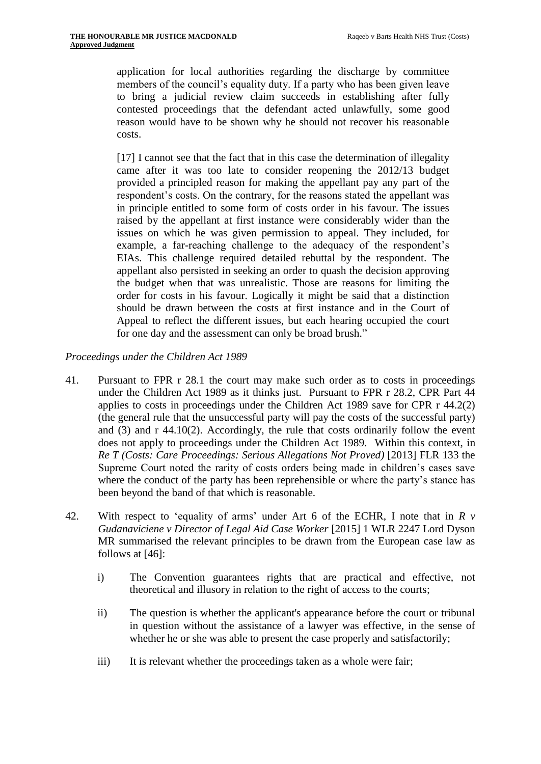application for local authorities regarding the discharge by committee members of the council's equality duty. If a party who has been given leave to bring a judicial review claim succeeds in establishing after fully contested proceedings that the defendant acted unlawfully, some good reason would have to be shown why he should not recover his reasonable costs.

[17] I cannot see that the fact that in this case the determination of illegality came after it was too late to consider reopening the 2012/13 budget provided a principled reason for making the appellant pay any part of the respondent's costs. On the contrary, for the reasons stated the appellant was in principle entitled to some form of costs order in his favour. The issues raised by the appellant at first instance were considerably wider than the issues on which he was given permission to appeal. They included, for example, a far-reaching challenge to the adequacy of the respondent's EIAs. This challenge required detailed rebuttal by the respondent. The appellant also persisted in seeking an order to quash the decision approving the budget when that was unrealistic. Those are reasons for limiting the order for costs in his favour. Logically it might be said that a distinction should be drawn between the costs at first instance and in the Court of Appeal to reflect the different issues, but each hearing occupied the court for one day and the assessment can only be broad brush."

*Proceedings under the Children Act 1989*

- 41. Pursuant to FPR r 28.1 the court may make such order as to costs in proceedings under the Children Act 1989 as it thinks just. Pursuant to FPR r 28.2, CPR Part 44 applies to costs in proceedings under the Children Act 1989 save for CPR r 44.2(2) (the general rule that the unsuccessful party will pay the costs of the successful party) and (3) and r 44.10(2). Accordingly, the rule that costs ordinarily follow the event does not apply to proceedings under the Children Act 1989. Within this context, in *Re T (Costs: Care Proceedings: Serious Allegations Not Proved)* [2013] FLR 133 the Supreme Court noted the rarity of costs orders being made in children's cases save where the conduct of the party has been reprehensible or where the party's stance has been beyond the band of that which is reasonable.
- 42. With respect to 'equality of arms' under Art 6 of the ECHR, I note that in *R v Gudanaviciene v Director of Legal Aid Case Worker* [2015] 1 WLR 2247 Lord Dyson MR summarised the relevant principles to be drawn from the European case law as follows at [46]:
	- i) The Convention guarantees rights that are practical and effective, not theoretical and illusory in relation to the right of access to the courts;
	- ii) The question is whether the applicant's appearance before the court or tribunal in question without the assistance of a lawyer was effective, in the sense of whether he or she was able to present the case properly and satisfactorily;
	- iii) It is relevant whether the proceedings taken as a whole were fair;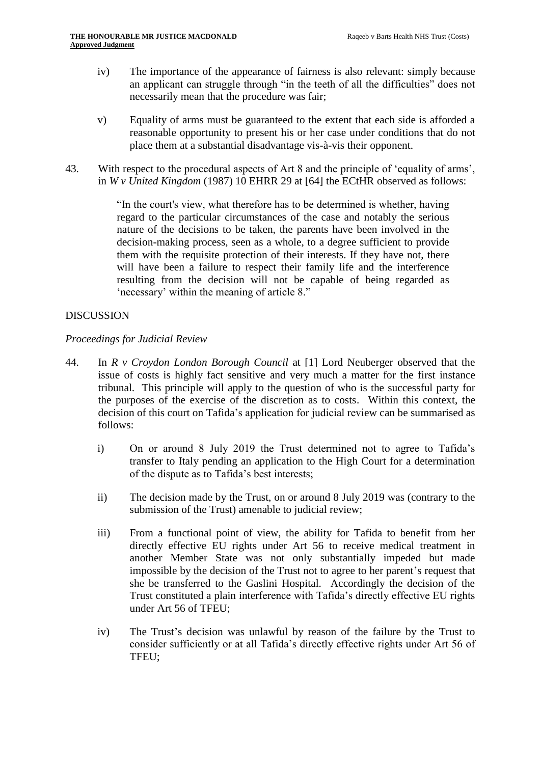- iv) The importance of the appearance of fairness is also relevant: simply because an applicant can struggle through "in the teeth of all the difficulties" does not necessarily mean that the procedure was fair;
- v) Equality of arms must be guaranteed to the extent that each side is afforded a reasonable opportunity to present his or her case under conditions that do not place them at a substantial disadvantage vis-à-vis their opponent.
- 43. With respect to the procedural aspects of Art 8 and the principle of 'equality of arms', in *W v United Kingdom* (1987) 10 EHRR 29 at [64] the ECtHR observed as follows:

"In the court's view, what therefore has to be determined is whether, having regard to the particular circumstances of the case and notably the serious nature of the decisions to be taken, the parents have been involved in the decision-making process, seen as a whole, to a degree sufficient to provide them with the requisite protection of their interests. If they have not, there will have been a failure to respect their family life and the interference resulting from the decision will not be capable of being regarded as 'necessary' within the meaning of article 8."

## DISCUSSION

### *Proceedings for Judicial Review*

- 44. In *R v Croydon London Borough Council* at [1] Lord Neuberger observed that the issue of costs is highly fact sensitive and very much a matter for the first instance tribunal. This principle will apply to the question of who is the successful party for the purposes of the exercise of the discretion as to costs. Within this context, the decision of this court on Tafida's application for judicial review can be summarised as follows:
	- i) On or around 8 July 2019 the Trust determined not to agree to Tafida's transfer to Italy pending an application to the High Court for a determination of the dispute as to Tafida's best interests;
	- ii) The decision made by the Trust, on or around 8 July 2019 was (contrary to the submission of the Trust) amenable to judicial review;
	- iii) From a functional point of view, the ability for Tafida to benefit from her directly effective EU rights under Art 56 to receive medical treatment in another Member State was not only substantially impeded but made impossible by the decision of the Trust not to agree to her parent's request that she be transferred to the Gaslini Hospital. Accordingly the decision of the Trust constituted a plain interference with Tafida's directly effective EU rights under Art 56 of TFEU;
	- iv) The Trust's decision was unlawful by reason of the failure by the Trust to consider sufficiently or at all Tafida's directly effective rights under Art 56 of TFEU;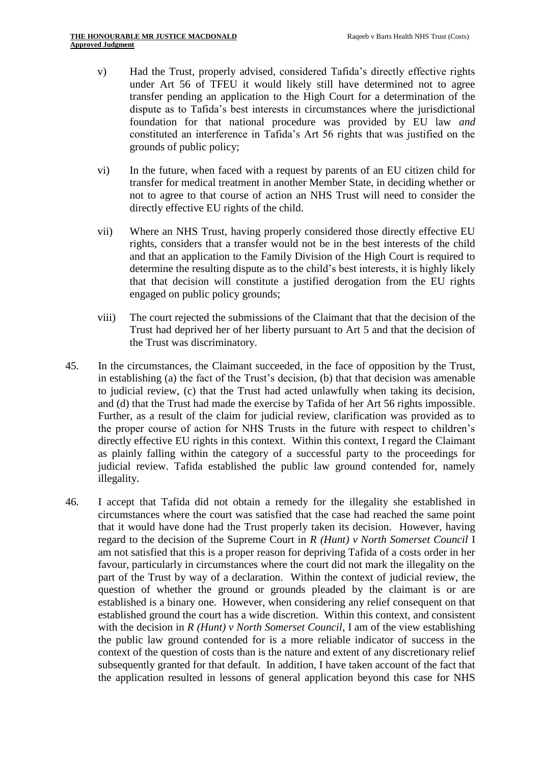- v) Had the Trust, properly advised, considered Tafida's directly effective rights under Art 56 of TFEU it would likely still have determined not to agree transfer pending an application to the High Court for a determination of the dispute as to Tafida's best interests in circumstances where the jurisdictional foundation for that national procedure was provided by EU law *and* constituted an interference in Tafida's Art 56 rights that was justified on the grounds of public policy;
- vi) In the future, when faced with a request by parents of an EU citizen child for transfer for medical treatment in another Member State, in deciding whether or not to agree to that course of action an NHS Trust will need to consider the directly effective EU rights of the child.
- vii) Where an NHS Trust, having properly considered those directly effective EU rights, considers that a transfer would not be in the best interests of the child and that an application to the Family Division of the High Court is required to determine the resulting dispute as to the child's best interests, it is highly likely that that decision will constitute a justified derogation from the EU rights engaged on public policy grounds;
- viii) The court rejected the submissions of the Claimant that that the decision of the Trust had deprived her of her liberty pursuant to Art 5 and that the decision of the Trust was discriminatory.
- 45. In the circumstances, the Claimant succeeded, in the face of opposition by the Trust, in establishing (a) the fact of the Trust's decision, (b) that that decision was amenable to judicial review, (c) that the Trust had acted unlawfully when taking its decision, and (d) that the Trust had made the exercise by Tafida of her Art 56 rights impossible. Further, as a result of the claim for judicial review, clarification was provided as to the proper course of action for NHS Trusts in the future with respect to children's directly effective EU rights in this context. Within this context, I regard the Claimant as plainly falling within the category of a successful party to the proceedings for judicial review. Tafida established the public law ground contended for, namely illegality.
- 46. I accept that Tafida did not obtain a remedy for the illegality she established in circumstances where the court was satisfied that the case had reached the same point that it would have done had the Trust properly taken its decision. However, having regard to the decision of the Supreme Court in *R (Hunt) v North Somerset Council* I am not satisfied that this is a proper reason for depriving Tafida of a costs order in her favour, particularly in circumstances where the court did not mark the illegality on the part of the Trust by way of a declaration. Within the context of judicial review, the question of whether the ground or grounds pleaded by the claimant is or are established is a binary one. However, when considering any relief consequent on that established ground the court has a wide discretion. Within this context, and consistent with the decision in *R* (*Hunt*) *v North Somerset Council*, I am of the view establishing the public law ground contended for is a more reliable indicator of success in the context of the question of costs than is the nature and extent of any discretionary relief subsequently granted for that default. In addition, I have taken account of the fact that the application resulted in lessons of general application beyond this case for NHS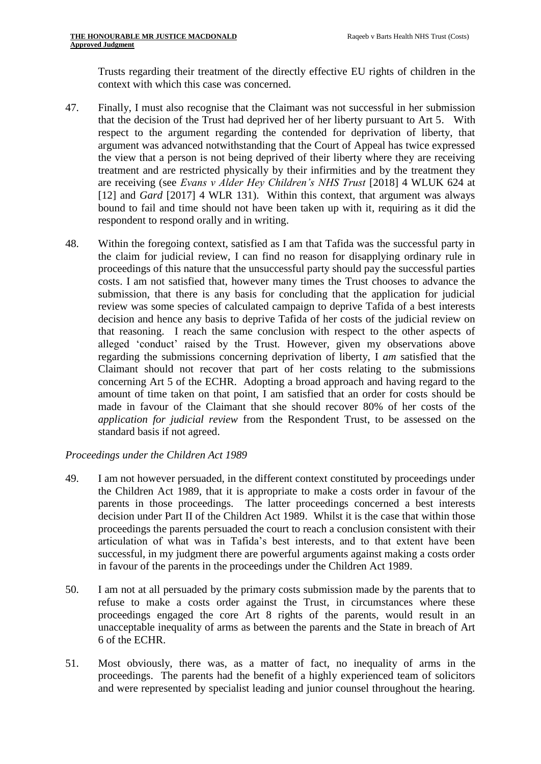Trusts regarding their treatment of the directly effective EU rights of children in the context with which this case was concerned.

- 47. Finally, I must also recognise that the Claimant was not successful in her submission that the decision of the Trust had deprived her of her liberty pursuant to Art 5. With respect to the argument regarding the contended for deprivation of liberty, that argument was advanced notwithstanding that the Court of Appeal has twice expressed the view that a person is not being deprived of their liberty where they are receiving treatment and are restricted physically by their infirmities and by the treatment they are receiving (see *Evans v Alder Hey Children's NHS Trust* [2018] 4 WLUK 624 at [12] and *Gard* [2017] 4 WLR 131). Within this context, that argument was always bound to fail and time should not have been taken up with it, requiring as it did the respondent to respond orally and in writing.
- 48. Within the foregoing context, satisfied as I am that Tafida was the successful party in the claim for judicial review, I can find no reason for disapplying ordinary rule in proceedings of this nature that the unsuccessful party should pay the successful parties costs. I am not satisfied that, however many times the Trust chooses to advance the submission, that there is any basis for concluding that the application for judicial review was some species of calculated campaign to deprive Tafida of a best interests decision and hence any basis to deprive Tafida of her costs of the judicial review on that reasoning. I reach the same conclusion with respect to the other aspects of alleged 'conduct' raised by the Trust. However, given my observations above regarding the submissions concerning deprivation of liberty, I *am* satisfied that the Claimant should not recover that part of her costs relating to the submissions concerning Art 5 of the ECHR. Adopting a broad approach and having regard to the amount of time taken on that point, I am satisfied that an order for costs should be made in favour of the Claimant that she should recover 80% of her costs of the *application for judicial review* from the Respondent Trust, to be assessed on the standard basis if not agreed.

## *Proceedings under the Children Act 1989*

- 49. I am not however persuaded, in the different context constituted by proceedings under the Children Act 1989, that it is appropriate to make a costs order in favour of the parents in those proceedings. The latter proceedings concerned a best interests decision under Part II of the Children Act 1989. Whilst it is the case that within those proceedings the parents persuaded the court to reach a conclusion consistent with their articulation of what was in Tafida's best interests, and to that extent have been successful, in my judgment there are powerful arguments against making a costs order in favour of the parents in the proceedings under the Children Act 1989.
- 50. I am not at all persuaded by the primary costs submission made by the parents that to refuse to make a costs order against the Trust, in circumstances where these proceedings engaged the core Art 8 rights of the parents, would result in an unacceptable inequality of arms as between the parents and the State in breach of Art 6 of the ECHR.
- 51. Most obviously, there was, as a matter of fact, no inequality of arms in the proceedings. The parents had the benefit of a highly experienced team of solicitors and were represented by specialist leading and junior counsel throughout the hearing.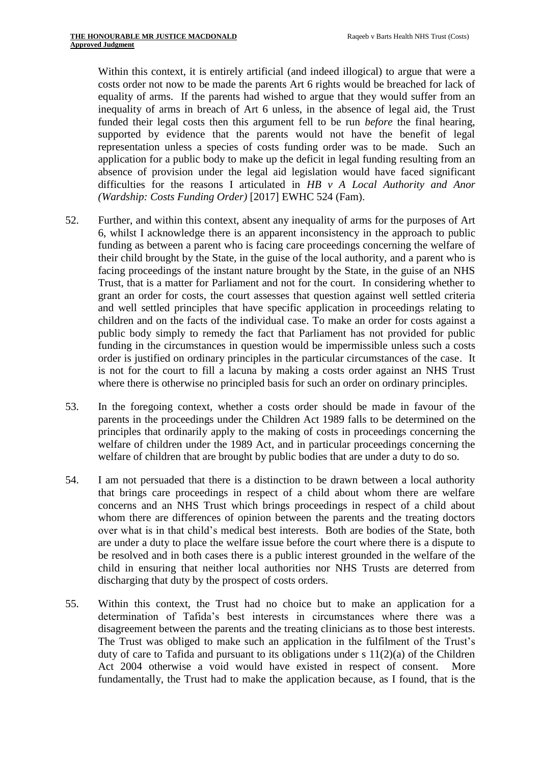Within this context, it is entirely artificial (and indeed illogical) to argue that were a costs order not now to be made the parents Art 6 rights would be breached for lack of equality of arms. If the parents had wished to argue that they would suffer from an inequality of arms in breach of Art 6 unless, in the absence of legal aid, the Trust funded their legal costs then this argument fell to be run *before* the final hearing, supported by evidence that the parents would not have the benefit of legal representation unless a species of costs funding order was to be made. Such an application for a public body to make up the deficit in legal funding resulting from an absence of provision under the legal aid legislation would have faced significant difficulties for the reasons I articulated in *HB v A Local Authority and Anor (Wardship: Costs Funding Order)* [2017] EWHC 524 (Fam).

- 52. Further, and within this context, absent any inequality of arms for the purposes of Art 6, whilst I acknowledge there is an apparent inconsistency in the approach to public funding as between a parent who is facing care proceedings concerning the welfare of their child brought by the State, in the guise of the local authority, and a parent who is facing proceedings of the instant nature brought by the State, in the guise of an NHS Trust, that is a matter for Parliament and not for the court. In considering whether to grant an order for costs, the court assesses that question against well settled criteria and well settled principles that have specific application in proceedings relating to children and on the facts of the individual case. To make an order for costs against a public body simply to remedy the fact that Parliament has not provided for public funding in the circumstances in question would be impermissible unless such a costs order is justified on ordinary principles in the particular circumstances of the case. It is not for the court to fill a lacuna by making a costs order against an NHS Trust where there is otherwise no principled basis for such an order on ordinary principles.
- 53. In the foregoing context, whether a costs order should be made in favour of the parents in the proceedings under the Children Act 1989 falls to be determined on the principles that ordinarily apply to the making of costs in proceedings concerning the welfare of children under the 1989 Act, and in particular proceedings concerning the welfare of children that are brought by public bodies that are under a duty to do so.
- 54. I am not persuaded that there is a distinction to be drawn between a local authority that brings care proceedings in respect of a child about whom there are welfare concerns and an NHS Trust which brings proceedings in respect of a child about whom there are differences of opinion between the parents and the treating doctors over what is in that child's medical best interests. Both are bodies of the State, both are under a duty to place the welfare issue before the court where there is a dispute to be resolved and in both cases there is a public interest grounded in the welfare of the child in ensuring that neither local authorities nor NHS Trusts are deterred from discharging that duty by the prospect of costs orders.
- 55. Within this context, the Trust had no choice but to make an application for a determination of Tafida's best interests in circumstances where there was a disagreement between the parents and the treating clinicians as to those best interests. The Trust was obliged to make such an application in the fulfilment of the Trust's duty of care to Tafida and pursuant to its obligations under s 11(2)(a) of the Children Act 2004 otherwise a void would have existed in respect of consent. More fundamentally, the Trust had to make the application because, as I found, that is the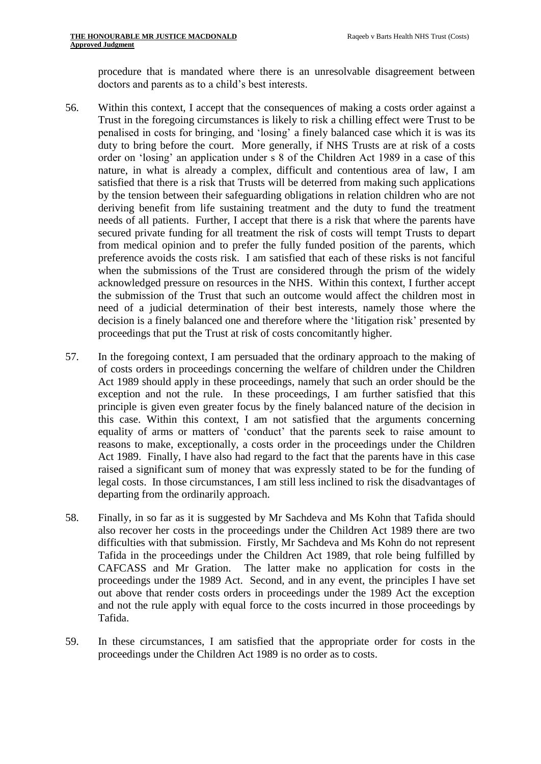procedure that is mandated where there is an unresolvable disagreement between doctors and parents as to a child's best interests.

- 56. Within this context, I accept that the consequences of making a costs order against a Trust in the foregoing circumstances is likely to risk a chilling effect were Trust to be penalised in costs for bringing, and 'losing' a finely balanced case which it is was its duty to bring before the court. More generally, if NHS Trusts are at risk of a costs order on 'losing' an application under s 8 of the Children Act 1989 in a case of this nature, in what is already a complex, difficult and contentious area of law, I am satisfied that there is a risk that Trusts will be deterred from making such applications by the tension between their safeguarding obligations in relation children who are not deriving benefit from life sustaining treatment and the duty to fund the treatment needs of all patients. Further, I accept that there is a risk that where the parents have secured private funding for all treatment the risk of costs will tempt Trusts to depart from medical opinion and to prefer the fully funded position of the parents, which preference avoids the costs risk. I am satisfied that each of these risks is not fanciful when the submissions of the Trust are considered through the prism of the widely acknowledged pressure on resources in the NHS. Within this context, I further accept the submission of the Trust that such an outcome would affect the children most in need of a judicial determination of their best interests, namely those where the decision is a finely balanced one and therefore where the 'litigation risk' presented by proceedings that put the Trust at risk of costs concomitantly higher.
- 57. In the foregoing context, I am persuaded that the ordinary approach to the making of of costs orders in proceedings concerning the welfare of children under the Children Act 1989 should apply in these proceedings, namely that such an order should be the exception and not the rule. In these proceedings, I am further satisfied that this principle is given even greater focus by the finely balanced nature of the decision in this case. Within this context, I am not satisfied that the arguments concerning equality of arms or matters of 'conduct' that the parents seek to raise amount to reasons to make, exceptionally, a costs order in the proceedings under the Children Act 1989. Finally, I have also had regard to the fact that the parents have in this case raised a significant sum of money that was expressly stated to be for the funding of legal costs. In those circumstances, I am still less inclined to risk the disadvantages of departing from the ordinarily approach.
- 58. Finally, in so far as it is suggested by Mr Sachdeva and Ms Kohn that Tafida should also recover her costs in the proceedings under the Children Act 1989 there are two difficulties with that submission. Firstly, Mr Sachdeva and Ms Kohn do not represent Tafida in the proceedings under the Children Act 1989, that role being fulfilled by CAFCASS and Mr Gration. The latter make no application for costs in the proceedings under the 1989 Act. Second, and in any event, the principles I have set out above that render costs orders in proceedings under the 1989 Act the exception and not the rule apply with equal force to the costs incurred in those proceedings by Tafida.
- 59. In these circumstances, I am satisfied that the appropriate order for costs in the proceedings under the Children Act 1989 is no order as to costs.